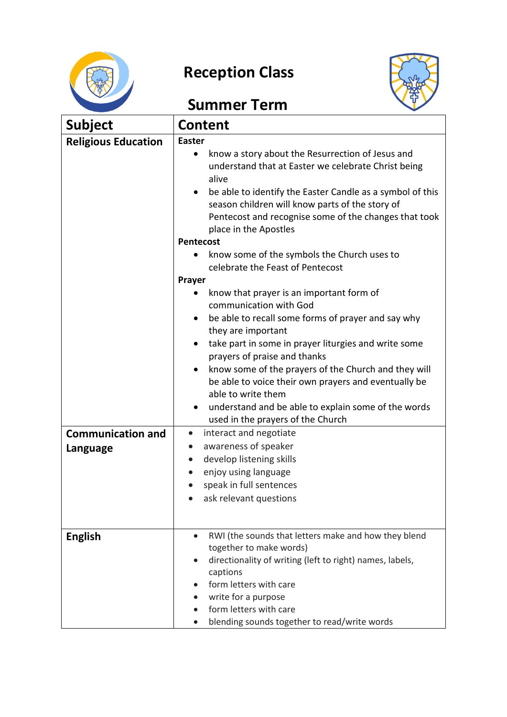

## **Reception Class**



## **Summer Term**

| <b>Subject</b>                       | <b>Content</b>                                                                                                                                                                                                                                                                                                                                                                                                                                                                                                                                                                                                  |  |
|--------------------------------------|-----------------------------------------------------------------------------------------------------------------------------------------------------------------------------------------------------------------------------------------------------------------------------------------------------------------------------------------------------------------------------------------------------------------------------------------------------------------------------------------------------------------------------------------------------------------------------------------------------------------|--|
| <b>Religious Education</b>           | <b>Easter</b><br>know a story about the Resurrection of Jesus and<br>$\bullet$<br>understand that at Easter we celebrate Christ being<br>alive<br>be able to identify the Easter Candle as a symbol of this<br>season children will know parts of the story of<br>Pentecost and recognise some of the changes that took<br>place in the Apostles<br><b>Pentecost</b><br>know some of the symbols the Church uses to<br>celebrate the Feast of Pentecost<br>Prayer<br>know that prayer is an important form of<br>٠<br>communication with God<br>be able to recall some forms of prayer and say why<br>$\bullet$ |  |
|                                      | they are important<br>take part in some in prayer liturgies and write some<br>$\bullet$<br>prayers of praise and thanks<br>know some of the prayers of the Church and they will<br>$\bullet$<br>be able to voice their own prayers and eventually be<br>able to write them<br>understand and be able to explain some of the words<br>used in the prayers of the Church                                                                                                                                                                                                                                          |  |
| <b>Communication and</b><br>Language | interact and negotiate<br>$\bullet$<br>awareness of speaker<br>$\bullet$<br>develop listening skills<br>$\bullet$<br>enjoy using language<br>$\bullet$<br>speak in full sentences<br>ask relevant questions                                                                                                                                                                                                                                                                                                                                                                                                     |  |
| <b>English</b>                       | RWI (the sounds that letters make and how they blend<br>$\bullet$<br>together to make words)<br>directionality of writing (left to right) names, labels,<br>captions<br>form letters with care<br>write for a purpose<br>form letters with care<br>blending sounds together to read/write words                                                                                                                                                                                                                                                                                                                 |  |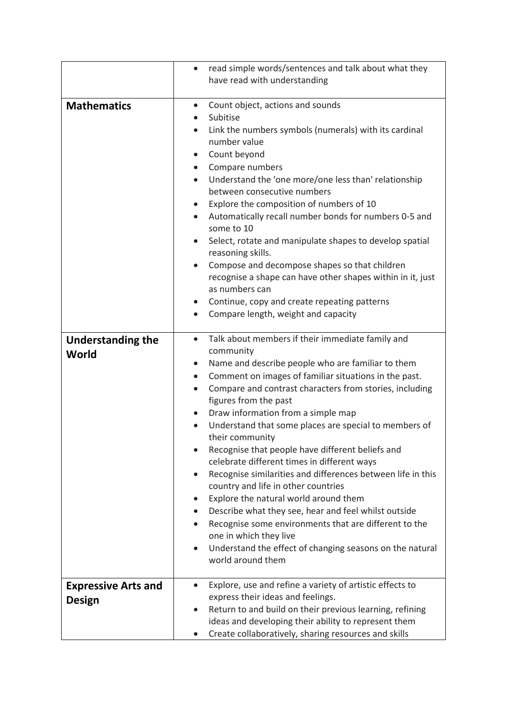|                                      | read simple words/sentences and talk about what they<br>$\bullet$                                                                                                                                                                                                                                                                                                                                                                                                                                                                                                                                                                                                                                                                                                                                                                                                                                                                |
|--------------------------------------|----------------------------------------------------------------------------------------------------------------------------------------------------------------------------------------------------------------------------------------------------------------------------------------------------------------------------------------------------------------------------------------------------------------------------------------------------------------------------------------------------------------------------------------------------------------------------------------------------------------------------------------------------------------------------------------------------------------------------------------------------------------------------------------------------------------------------------------------------------------------------------------------------------------------------------|
|                                      | have read with understanding                                                                                                                                                                                                                                                                                                                                                                                                                                                                                                                                                                                                                                                                                                                                                                                                                                                                                                     |
| <b>Mathematics</b>                   | Count object, actions and sounds<br>$\bullet$<br>Subitise<br>Link the numbers symbols (numerals) with its cardinal<br>number value<br>Count beyond<br>Compare numbers<br>$\bullet$<br>Understand the 'one more/one less than' relationship<br>$\bullet$<br>between consecutive numbers<br>Explore the composition of numbers of 10<br>$\bullet$<br>Automatically recall number bonds for numbers 0-5 and<br>some to 10<br>Select, rotate and manipulate shapes to develop spatial<br>$\bullet$<br>reasoning skills.<br>Compose and decompose shapes so that children<br>$\bullet$<br>recognise a shape can have other shapes within in it, just<br>as numbers can<br>Continue, copy and create repeating patterns<br>$\bullet$<br>Compare length, weight and capacity<br>$\bullet$                                                                                                                                               |
| <b>Understanding the</b><br>World    | Talk about members if their immediate family and<br>$\bullet$<br>community<br>Name and describe people who are familiar to them<br>$\bullet$<br>Comment on images of familiar situations in the past.<br>$\bullet$<br>Compare and contrast characters from stories, including<br>figures from the past<br>Draw information from a simple map<br>Understand that some places are special to members of<br>their community<br>Recognise that people have different beliefs and<br>celebrate different times in different ways<br>Recognise similarities and differences between life in this<br>$\bullet$<br>country and life in other countries<br>Explore the natural world around them<br>$\bullet$<br>Describe what they see, hear and feel whilst outside<br>Recognise some environments that are different to the<br>one in which they live<br>Understand the effect of changing seasons on the natural<br>world around them |
| <b>Expressive Arts and</b><br>Design | Explore, use and refine a variety of artistic effects to<br>$\bullet$<br>express their ideas and feelings.<br>Return to and build on their previous learning, refining<br>ideas and developing their ability to represent them<br>Create collaboratively, sharing resources and skills                                                                                                                                                                                                                                                                                                                                                                                                                                                                                                                                                                                                                                           |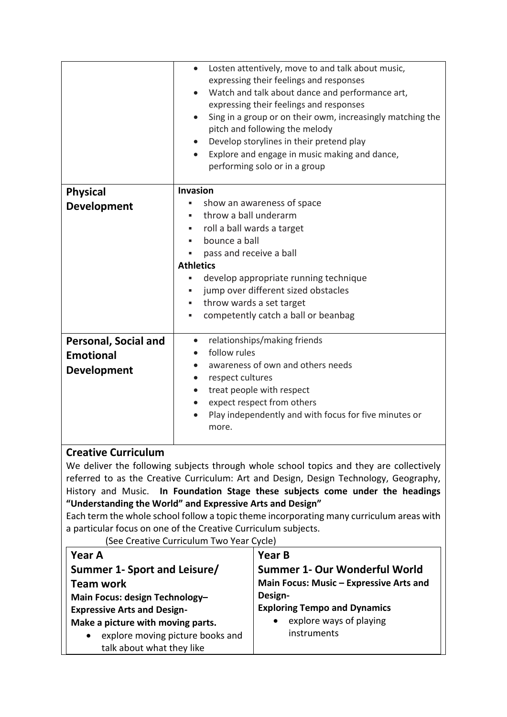|                                                                                         | Losten attentively, move to and talk about music,<br>$\bullet$<br>expressing their feelings and responses<br>Watch and talk about dance and performance art,<br>$\bullet$<br>expressing their feelings and responses<br>Sing in a group or on their owm, increasingly matching the<br>$\bullet$<br>pitch and following the melody<br>Develop storylines in their pretend play<br>Explore and engage in music making and dance,<br>performing solo or in a group |  |
|-----------------------------------------------------------------------------------------|-----------------------------------------------------------------------------------------------------------------------------------------------------------------------------------------------------------------------------------------------------------------------------------------------------------------------------------------------------------------------------------------------------------------------------------------------------------------|--|
| <b>Physical</b>                                                                         | Invasion                                                                                                                                                                                                                                                                                                                                                                                                                                                        |  |
| <b>Development</b>                                                                      | show an awareness of space<br>٠                                                                                                                                                                                                                                                                                                                                                                                                                                 |  |
|                                                                                         | throw a ball underarm<br>٠                                                                                                                                                                                                                                                                                                                                                                                                                                      |  |
|                                                                                         | roll a ball wards a target<br>٠                                                                                                                                                                                                                                                                                                                                                                                                                                 |  |
|                                                                                         | bounce a ball<br>٠                                                                                                                                                                                                                                                                                                                                                                                                                                              |  |
|                                                                                         | pass and receive a ball                                                                                                                                                                                                                                                                                                                                                                                                                                         |  |
|                                                                                         | <b>Athletics</b>                                                                                                                                                                                                                                                                                                                                                                                                                                                |  |
|                                                                                         | develop appropriate running technique<br>٠                                                                                                                                                                                                                                                                                                                                                                                                                      |  |
|                                                                                         | jump over different sized obstacles<br>٠                                                                                                                                                                                                                                                                                                                                                                                                                        |  |
|                                                                                         | throw wards a set target<br>٠                                                                                                                                                                                                                                                                                                                                                                                                                                   |  |
|                                                                                         | competently catch a ball or beanbag<br>٠                                                                                                                                                                                                                                                                                                                                                                                                                        |  |
| <b>Personal, Social and</b>                                                             | relationships/making friends<br>$\bullet$                                                                                                                                                                                                                                                                                                                                                                                                                       |  |
| <b>Emotional</b>                                                                        | follow rules                                                                                                                                                                                                                                                                                                                                                                                                                                                    |  |
| <b>Development</b>                                                                      | awareness of own and others needs<br>$\bullet$                                                                                                                                                                                                                                                                                                                                                                                                                  |  |
|                                                                                         | respect cultures<br>$\bullet$                                                                                                                                                                                                                                                                                                                                                                                                                                   |  |
|                                                                                         | treat people with respect<br>$\bullet$                                                                                                                                                                                                                                                                                                                                                                                                                          |  |
|                                                                                         | expect respect from others<br>$\bullet$                                                                                                                                                                                                                                                                                                                                                                                                                         |  |
|                                                                                         | Play independently and with focus for five minutes or<br>more.                                                                                                                                                                                                                                                                                                                                                                                                  |  |
| <b>Creative Curriculum</b>                                                              |                                                                                                                                                                                                                                                                                                                                                                                                                                                                 |  |
| We deliver the following subjects through whole school topics and they are collectively |                                                                                                                                                                                                                                                                                                                                                                                                                                                                 |  |

er the following subjects through whole school topics and they are collectively referred to as the Creative Curriculum: Art and Design, Design Technology, Geography, History and Music. **In Foundation Stage these subjects come under the headings** 

**"Understanding the World" and Expressive Arts and Design"**

Each term the whole school follow a topic theme incorporating many curriculum areas with a particular focus on one of the Creative Curriculum subjects.

(See Creative Curriculum Two Year Cycle)

| <b>Year A</b>                                 | <b>Year B</b>                           |
|-----------------------------------------------|-----------------------------------------|
| Summer 1- Sport and Leisure/                  | Summer 1- Our Wonderful World           |
| <b>Team work</b>                              | Main Focus: Music - Expressive Arts and |
| Main Focus: design Technology-                | Design-                                 |
| <b>Expressive Arts and Design-</b>            | <b>Exploring Tempo and Dynamics</b>     |
| Make a picture with moving parts.             | explore ways of playing                 |
| explore moving picture books and<br>$\bullet$ | instruments                             |
| talk about what they like                     |                                         |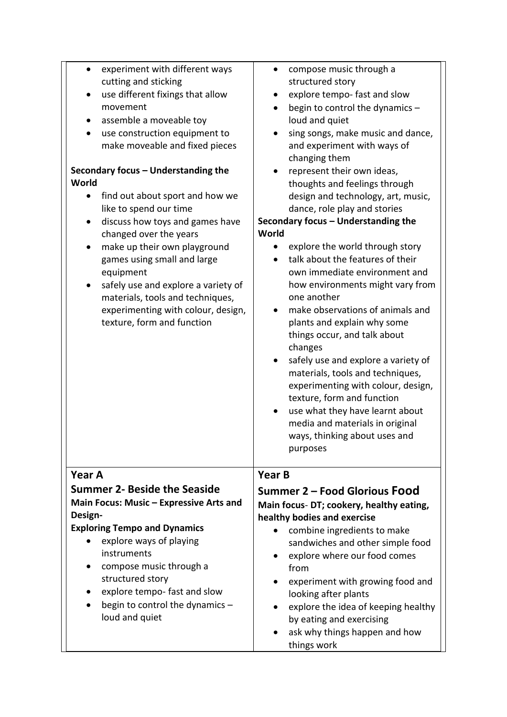| experiment with different ways<br>cutting and sticking<br>use different fixings that allow                                                                                                                                                                                                                                                                      | compose music through a<br>structured story<br>explore tempo- fast and slow                                                                                                                                                                                                                                                                                                                                                                                                                                                                                                                                                                                                        |
|-----------------------------------------------------------------------------------------------------------------------------------------------------------------------------------------------------------------------------------------------------------------------------------------------------------------------------------------------------------------|------------------------------------------------------------------------------------------------------------------------------------------------------------------------------------------------------------------------------------------------------------------------------------------------------------------------------------------------------------------------------------------------------------------------------------------------------------------------------------------------------------------------------------------------------------------------------------------------------------------------------------------------------------------------------------|
| movement<br>assemble a moveable toy<br>use construction equipment to                                                                                                                                                                                                                                                                                            | begin to control the dynamics -<br>loud and quiet<br>sing songs, make music and dance,                                                                                                                                                                                                                                                                                                                                                                                                                                                                                                                                                                                             |
| make moveable and fixed pieces<br>Secondary focus - Understanding the                                                                                                                                                                                                                                                                                           | and experiment with ways of<br>changing them<br>represent their own ideas,                                                                                                                                                                                                                                                                                                                                                                                                                                                                                                                                                                                                         |
| World<br>find out about sport and how we<br>like to spend our time<br>discuss how toys and games have<br>changed over the years<br>make up their own playground<br>٠<br>games using small and large<br>equipment<br>safely use and explore a variety of<br>materials, tools and techniques,<br>experimenting with colour, design,<br>texture, form and function | thoughts and feelings through<br>design and technology, art, music,<br>dance, role play and stories<br>Secondary focus - Understanding the<br>World<br>explore the world through story<br>talk about the features of their<br>own immediate environment and<br>how environments might vary from<br>one another<br>make observations of animals and<br>plants and explain why some<br>things occur, and talk about<br>changes<br>safely use and explore a variety of<br>materials, tools and techniques,<br>experimenting with colour, design,<br>texture, form and function<br>use what they have learnt about<br>media and materials in original<br>ways, thinking about uses and |
|                                                                                                                                                                                                                                                                                                                                                                 | purposes                                                                                                                                                                                                                                                                                                                                                                                                                                                                                                                                                                                                                                                                           |
| Year A                                                                                                                                                                                                                                                                                                                                                          | <b>Year B</b>                                                                                                                                                                                                                                                                                                                                                                                                                                                                                                                                                                                                                                                                      |
| <b>Summer 2- Beside the Seaside</b><br>Main Focus: Music - Expressive Arts and<br>Design-                                                                                                                                                                                                                                                                       | Summer 2 – Food Glorious Food<br>Main focus-DT; cookery, healthy eating,<br>healthy bodies and exercise                                                                                                                                                                                                                                                                                                                                                                                                                                                                                                                                                                            |
| <b>Exploring Tempo and Dynamics</b><br>explore ways of playing<br>instruments<br>compose music through a<br>structured story<br>explore tempo- fast and slow<br>begin to control the dynamics -<br>loud and quiet                                                                                                                                               | combine ingredients to make<br>sandwiches and other simple food<br>explore where our food comes<br>from<br>experiment with growing food and<br>looking after plants<br>explore the idea of keeping healthy<br>by eating and exercising<br>ask why things happen and how<br>things work                                                                                                                                                                                                                                                                                                                                                                                             |